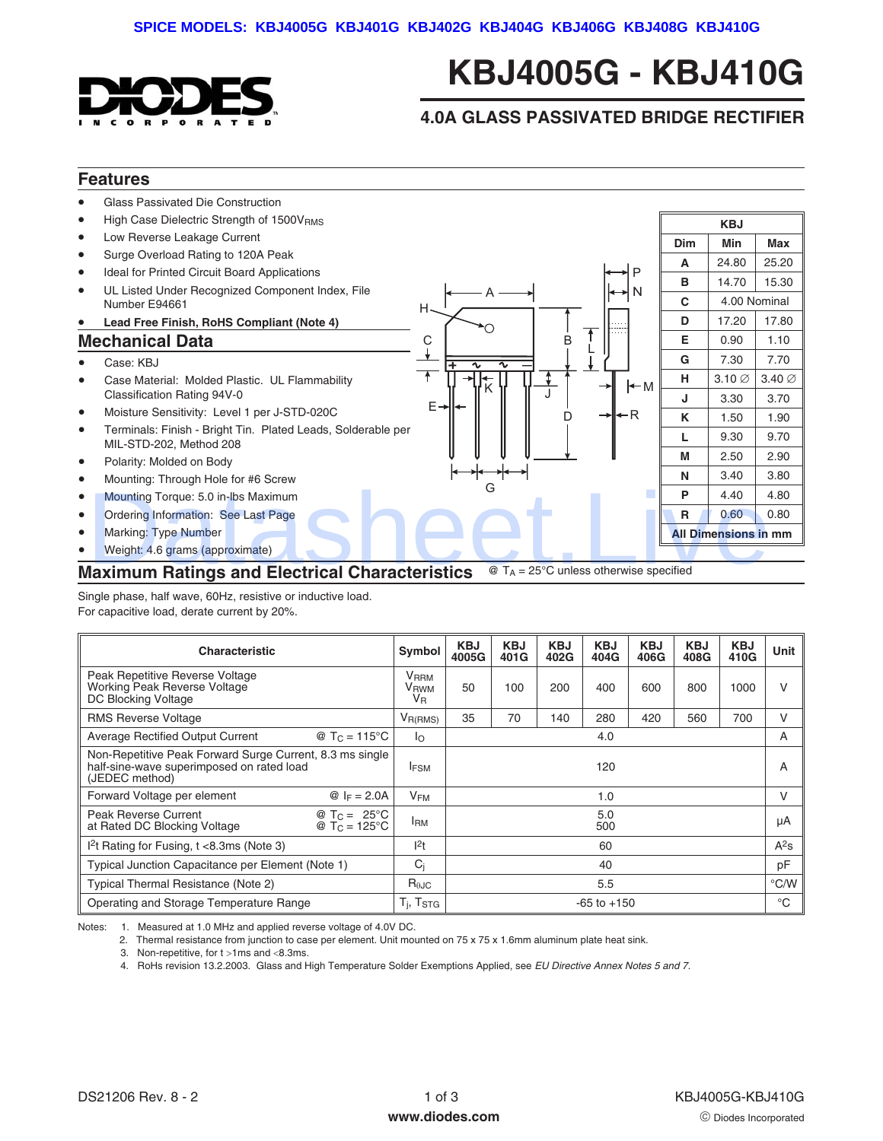

## **KBJ4005G - KBJ410G**

## **4.0A GLASS PASSIVATED BRIDGE RECTIFIER**

## **Features**



Single phase, half wave, 60Hz, resistive or inductive load. For capacitive load, derate current by 20%.

| <b>Characteristic</b>                                                                                                   | Symbol                                                    | <b>KBJ</b><br>4005G | KBJ<br>401G | <b>KBJ</b><br>402G | <b>KBJ</b><br>404G | <b>KBJ</b><br>406G | <b>KBJ</b><br>408G | <b>KBJ</b><br>410G | Unit   |
|-------------------------------------------------------------------------------------------------------------------------|-----------------------------------------------------------|---------------------|-------------|--------------------|--------------------|--------------------|--------------------|--------------------|--------|
| Peak Repetitive Reverse Voltage<br><b>Working Peak Reverse Voltage</b><br>DC Blocking Voltage                           | <b>V</b> RRM<br>V <sub>RWM</sub><br><b>V</b> <sub>R</sub> | 50                  | 100         | 200                | 400                | 600                | 800                | 1000               | $\vee$ |
| <b>RMS Reverse Voltage</b>                                                                                              | $V_{R(RMS)}$                                              | 35                  | 70          | 140                | 280                | 420                | 560                | 700                | $\vee$ |
| Average Rectified Output Current<br>@ T <sub>C</sub> = 115 °C                                                           | lo.                                                       | 4.0                 |             |                    |                    |                    | A                  |                    |        |
| Non-Repetitive Peak Forward Surge Current, 8.3 ms single<br>half-sine-wave superimposed on rated load<br>(JEDEC method) | <b>IFSM</b>                                               | 120                 |             |                    |                    | A                  |                    |                    |        |
| Forward Voltage per element<br><i>©</i> $I_F = 2.0A$                                                                    | <b>V<sub>FM</sub></b>                                     | 1.0                 |             |                    |                    | V                  |                    |                    |        |
| Peak Reverse Current<br>@ $T_C = 25^{\circ}C$<br>at Rated DC Blocking Voltage<br>@ $T_C = 125^{\circ}C$                 | <b>IRM</b>                                                | 5.0<br>500          |             |                    |                    | μA                 |                    |                    |        |
| $12$ t Rating for Fusing, t <8.3ms (Note 3)                                                                             | 1 <sup>2</sup> t                                          |                     |             |                    | 60                 |                    |                    |                    | $A^2s$ |
| Typical Junction Capacitance per Element (Note 1)                                                                       | $C_i$                                                     | 40                  |             |                    | pF                 |                    |                    |                    |        |
| Typical Thermal Resistance (Note 2)                                                                                     | $R_{\theta$ JC                                            | 5.5                 |             |                    | °C/W               |                    |                    |                    |        |
| Operating and Storage Temperature Range                                                                                 | $T_i$ , $T_{STG}$                                         | $-65$ to $+150$     |             |                    |                    | $^{\circ}$ C       |                    |                    |        |

Notes: 1. Measured at 1.0 MHz and applied reverse voltage of 4.0V DC.

2. Thermal resistance from junction to case per element. Unit mounted on 75 x 75 x 1.6mm aluminum plate heat sink.

3. Non-repetitive, for  $t > 1$ ms and  $< 8.3$ ms.

4. RoHs revision 13.2.2003. Glass and High Temperature Solder Exemptions Applied, see [EU Directive Annex Notes 5 and 7.](http://europa.eu.int/eur-lex/pri/en/oj/dat/2003/l_037/l_03720030213en00190023.pdf)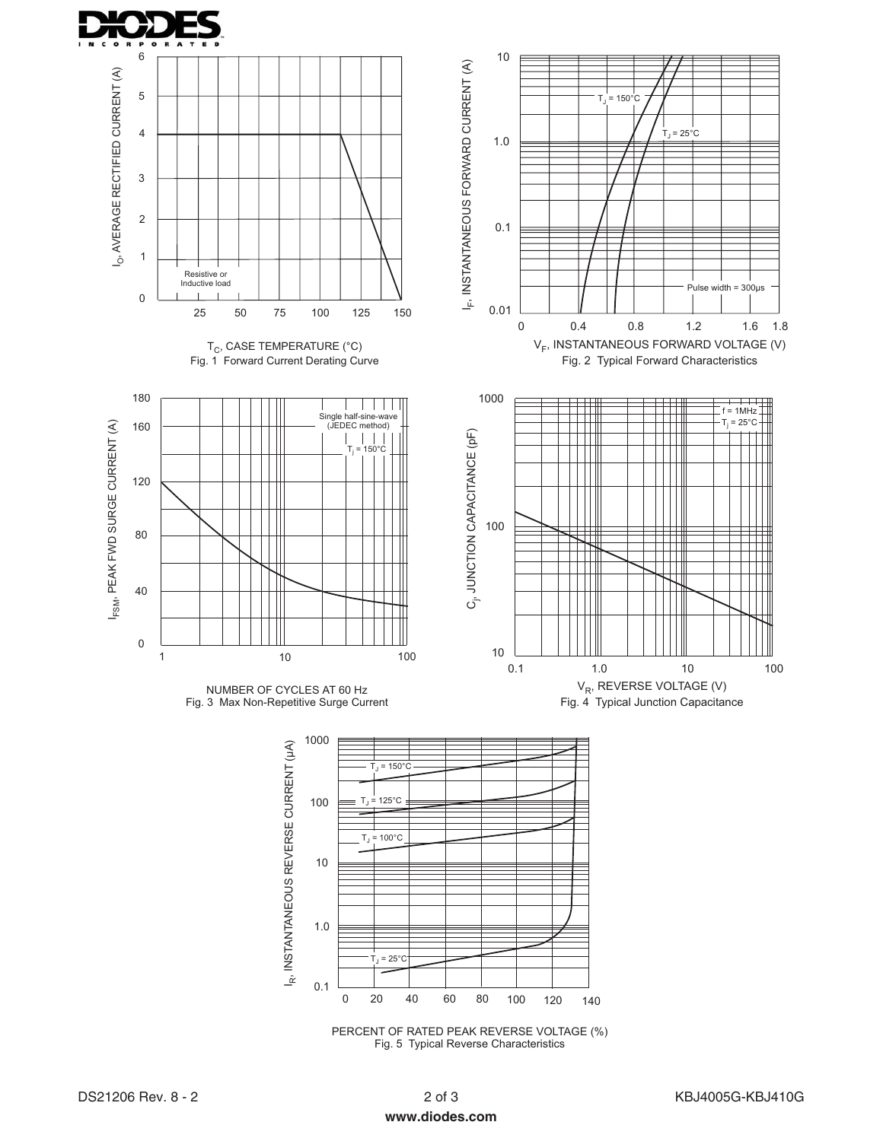